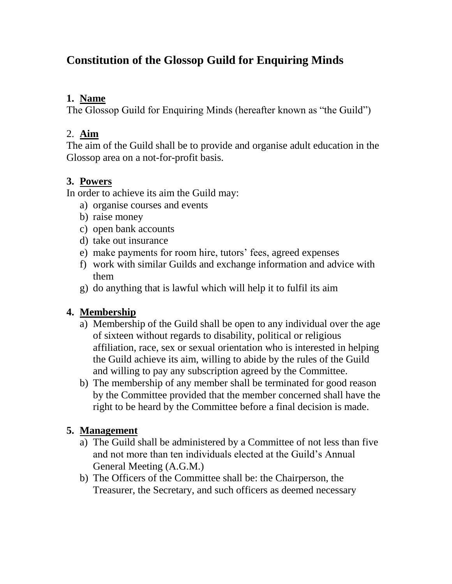# **Constitution of the Glossop Guild for Enquiring Minds**

### **1. Name**

The Glossop Guild for Enquiring Minds (hereafter known as "the Guild")

### 2. **Aim**

The aim of the Guild shall be to provide and organise adult education in the Glossop area on a not-for-profit basis.

# **3. Powers**

In order to achieve its aim the Guild may:

- a) organise courses and events
- b) raise money
- c) open bank accounts
- d) take out insurance
- e) make payments for room hire, tutors' fees, agreed expenses
- f) work with similar Guilds and exchange information and advice with them
- g) do anything that is lawful which will help it to fulfil its aim

# **4. Membership**

- a) Membership of the Guild shall be open to any individual over the age of sixteen without regards to disability, political or religious affiliation, race, sex or sexual orientation who is interested in helping the Guild achieve its aim, willing to abide by the rules of the Guild and willing to pay any subscription agreed by the Committee.
- b) The membership of any member shall be terminated for good reason by the Committee provided that the member concerned shall have the right to be heard by the Committee before a final decision is made.

# **5. Management**

- a) The Guild shall be administered by a Committee of not less than five and not more than ten individuals elected at the Guild's Annual General Meeting (A.G.M.)
- b) The Officers of the Committee shall be: the Chairperson, the Treasurer, the Secretary, and such officers as deemed necessary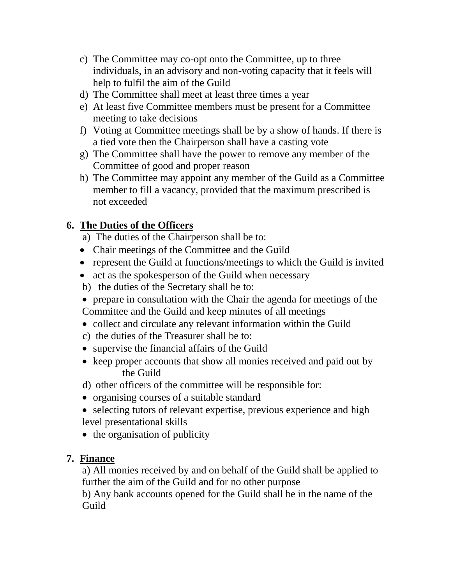- c) The Committee may co-opt onto the Committee, up to three individuals, in an advisory and non-voting capacity that it feels will help to fulfil the aim of the Guild
- d) The Committee shall meet at least three times a year
- e) At least five Committee members must be present for a Committee meeting to take decisions
- f) Voting at Committee meetings shall be by a show of hands. If there is a tied vote then the Chairperson shall have a casting vote
- g) The Committee shall have the power to remove any member of the Committee of good and proper reason
- h) The Committee may appoint any member of the Guild as a Committee member to fill a vacancy, provided that the maximum prescribed is not exceeded

# **6. The Duties of the Officers**

- a) The duties of the Chairperson shall be to:
- Chair meetings of the Committee and the Guild
- represent the Guild at functions/meetings to which the Guild is invited
- act as the spokesperson of the Guild when necessary
- b) the duties of the Secretary shall be to:
- prepare in consultation with the Chair the agenda for meetings of the Committee and the Guild and keep minutes of all meetings
- collect and circulate any relevant information within the Guild
- c) the duties of the Treasurer shall be to:
- supervise the financial affairs of the Guild
- keep proper accounts that show all monies received and paid out by the Guild
- d) other officers of the committee will be responsible for:
- organising courses of a suitable standard
- selecting tutors of relevant expertise, previous experience and high level presentational skills
- $\bullet$  the organisation of publicity

#### **7. Finance**

a) All monies received by and on behalf of the Guild shall be applied to further the aim of the Guild and for no other purpose

b) Any bank accounts opened for the Guild shall be in the name of the Guild